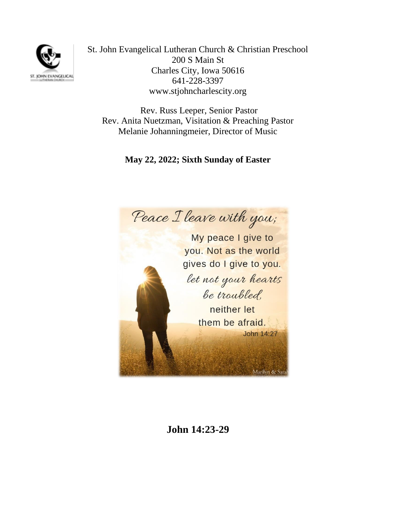

St. John Evangelical Lutheran Church & Christian Preschool 200 S Main St Charles City, Iowa 50616 641-228-3397 www.stjohncharlescity.org

Rev. Russ Leeper, Senior Pastor Rev. Anita Nuetzman, Visitation & Preaching Pastor Melanie Johanningmeier, Director of Music

# **May 22, 2022; Sixth Sunday of Easter**



**John 14:23-29**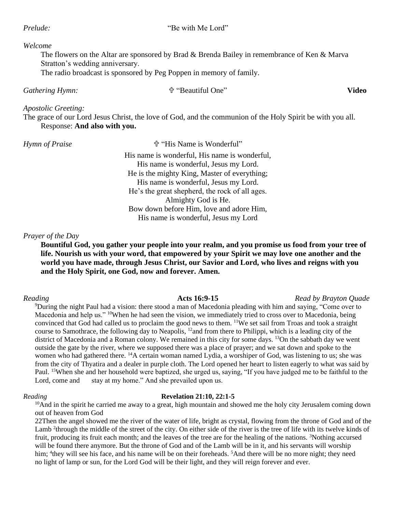### *Welcome*

The flowers on the Altar are sponsored by Brad  $\&$  Brenda Bailey in remembrance of Ken  $\&$  Marva Stratton's wedding anniversary.

The radio broadcast is sponsored by Peg Poppen in memory of family.

# Gathering Hymn:  $\mathbb{F}$  "Beautiful One" **Video**

*Apostolic Greeting:* 

The grace of our Lord Jesus Christ, the love of God, and the communion of the Holy Spirit be with you all. Response: **And also with you.**

*Hymn of Praise*  $\oplus$  <sup> $\oplus$ </sup> "His Name is Wonderful"

His name is wonderful, His name is wonderful, His name is wonderful, Jesus my Lord. He is the mighty King, Master of everything; His name is wonderful, Jesus my Lord. He's the great shepherd, the rock of all ages. Almighty God is He. Bow down before Him, love and adore Him, His name is wonderful, Jesus my Lord

# *Prayer of the Day*

**Bountiful God, you gather your people into your realm, and you promise us food from your tree of life. Nourish us with your word, that empowered by your Spirit we may love one another and the world you have made, through Jesus Christ, our Savior and Lord, who lives and reigns with you and the Holy Spirit, one God, now and forever. Amen.**

#### *Reading* **Acts 16:9-15** *Read by Brayton Quade*

<sup>9</sup>During the night Paul had a vision: there stood a man of Macedonia pleading with him and saying, "Come over to Macedonia and help us." <sup>10</sup>When he had seen the vision, we immediately tried to cross over to Macedonia, being convinced that God had called us to proclaim the good news to them. <sup>11</sup>We set sail from Troas and took a straight course to Samothrace, the following day to Neapolis, <sup>12</sup>and from there to Philippi, which is a leading city of the district of Macedonia and a Roman colony. We remained in this city for some days. <sup>13</sup>On the sabbath day we went outside the gate by the river, where we supposed there was a place of prayer; and we sat down and spoke to the women who had gathered there. <sup>14</sup>A certain woman named Lydia, a worshiper of God, was listening to us; she was from the city of Thyatira and a dealer in purple cloth. The Lord opened her heart to listen eagerly to what was said by Paul. <sup>15</sup>When she and her household were baptized, she urged us, saying, "If you have judged me to be faithful to the Lord, come and stay at my home." And she prevailed upon us.

### *Reading* **Revelation 21:10, 22:1-5**

 $10$ And in the spirit he carried me away to a great, high mountain and showed me the holy city Jerusalem coming down out of heaven from God

22Then the angel showed me the river of the water of life, bright as crystal, flowing from the throne of God and of the Lamb <sup>2</sup>through the middle of the street of the city. On either side of the river is the tree of life with its twelve kinds of fruit, producing its fruit each month; and the leaves of the tree are for the healing of the nations. <sup>3</sup>Nothing accursed will be found there anymore. But the throne of God and of the Lamb will be in it, and his servants will worship him; <sup>4</sup>they will see his face, and his name will be on their foreheads. <sup>5</sup>And there will be no more night; they need no light of lamp or sun, for the Lord God will be their light, and they will reign forever and ever.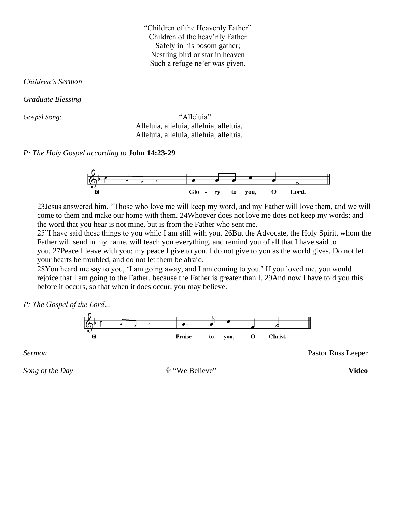"Children of the Heavenly Father" Children of the heav'nly Father Safely in his bosom gather; Nestling bird or star in heaven Such a refuge ne'er was given.

*Children's Sermon*

*Graduate Blessing*

*Gospel Song:* "Alleluia" Alleluia, alleluia, alleluia, alleluia, Alleluia, alleluia, alleluia, alleluia.

### *P: The Holy Gospel according to* **John 14:23-29**



23Jesus answered him, "Those who love me will keep my word, and my Father will love them, and we will come to them and make our home with them. 24Whoever does not love me does not keep my words; and the word that you hear is not mine, but is from the Father who sent me.

25"I have said these things to you while I am still with you. 26But the Advocate, the Holy Spirit, whom the Father will send in my name, will teach you everything, and remind you of all that I have said to you. 27Peace I leave with you; my peace I give to you. I do not give to you as the world gives. Do not let your hearts be troubled, and do not let them be afraid.

28You heard me say to you, 'I am going away, and I am coming to you.' If you loved me, you would rejoice that I am going to the Father, because the Father is greater than I. 29And now I have told you this before it occurs, so that when it does occur, you may believe.

*P: The Gospel of the Lord…*



*Sermon* Pastor Russ Leeper

*Song of the Day* "We Believe" **Video**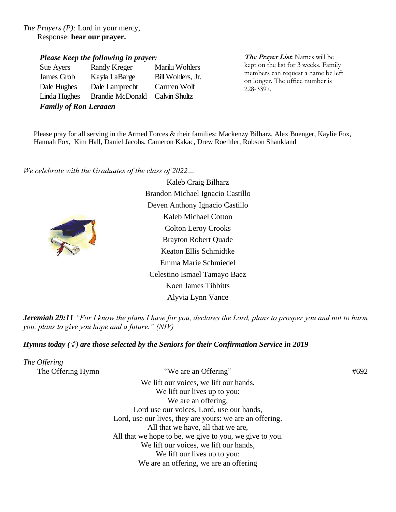*The Prayers (P):* Lord in your mercy, Response: **hear our prayer.**

### *Please Keep the following in prayer:*

| Sue Ayers                    | Randy Kreger            | Marilu Wohlers    |  |
|------------------------------|-------------------------|-------------------|--|
| James Grob                   | Kayla LaBarge           | Bill Wohlers, Jr. |  |
| Dale Hughes                  | Dale Lamprecht          | Carmen Wolf       |  |
| Linda Hughes                 | <b>Brandie McDonald</b> | Calvin Shultz     |  |
| <b>Family of Ron Leraaen</b> |                         |                   |  |

**The Prayer List:** Names will be kept on the list for 3 weeks. Family members can request a name be left on longer. The office number is 228-3397.

Please pray for all serving in the Armed Forces & their families: Mackenzy Bilharz, Alex Buenger, Kaylie Fox, Hannah Fox, Kim Hall, Daniel Jacobs, Cameron Kakac, Drew Roethler, Robson Shankland

*We celebrate with the Graduates of the class of 2022…*



Kaleb Craig Bilharz Brandon Michael Ignacio Castillo Deven Anthony Ignacio Castillo Kaleb Michael Cotton Colton Leroy Crooks Brayton Robert Quade Keaton Ellis Schmidtke Emma Marie Schmiedel Celestino Ismael Tamayo Baez Koen James Tibbitts Alyvia Lynn Vance

*Jeremiah 29:11 "For I know the plans I have for you, declares the Lord, plans to prosper you and not to harm you, plans to give you hope and a future." (NIV)*

*Hymns today (* $\hat{\tau}$ *) are those selected by the Seniors for their Confirmation Service in 2019* 

*The Offering*

The Offering Hymn "We are an Offering"  $\#692$ We lift our voices, we lift our hands, We lift our lives up to you: We are an offering, Lord use our voices, Lord, use our hands, Lord, use our lives, they are yours: we are an offering. All that we have, all that we are, All that we hope to be, we give to you, we give to you. We lift our voices, we lift our hands, We lift our lives up to you: We are an offering, we are an offering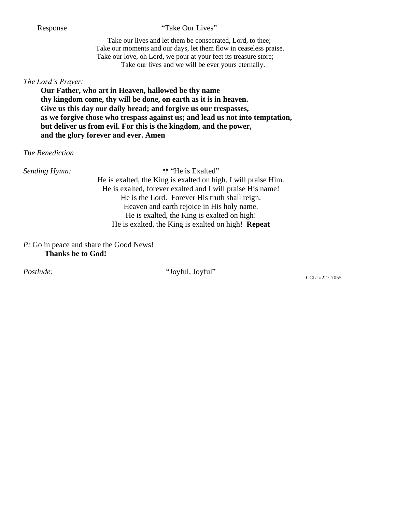Response "Take Our Lives"

Take our lives and let them be consecrated, Lord, to thee; Take our moments and our days, let them flow in ceaseless praise. Take our love, oh Lord, we pour at your feet its treasure store; Take our lives and we will be ever yours eternally.

#### *The Lord's Prayer:*

**Our Father, who art in Heaven, hallowed be thy name thy kingdom come, thy will be done, on earth as it is in heaven. Give us this day our daily bread; and forgive us our trespasses, as we forgive those who trespass against us; and lead us not into temptation, but deliver us from evil. For this is the kingdom, and the power, and the glory forever and ever. Amen**

*The Benediction*

Sending Hymn:  $\mathbb{R}^n$  **The is Exalted**" He is exalted, the King is exalted on high. I will praise Him. He is exalted, forever exalted and I will praise His name! He is the Lord. Forever His truth shall reign. Heaven and earth rejoice in His holy name. He is exalted, the King is exalted on high! He is exalted, the King is exalted on high! **Repeat**

*P*: Go in peace and share the Good News!  **Thanks be to God!**

*Postlude:* "Joyful, Joyful"

CCLI #227-7055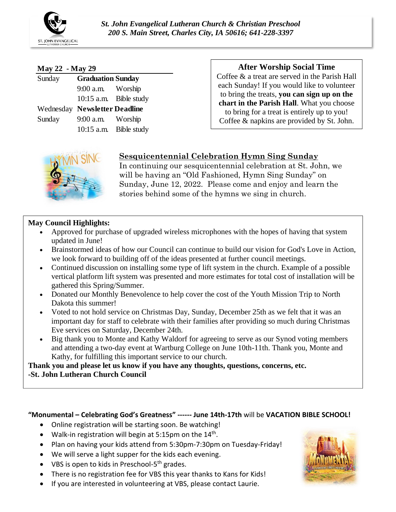

# **May 22 - May 29**

| Sunday | <b>Graduation Sunday</b>      |                        |
|--------|-------------------------------|------------------------|
|        | 9:00 a.m. Worship             |                        |
|        |                               | 10:15 a.m. Bible study |
|        | Wednesday Newsletter Deadline |                        |
| Sunday | 9:00 a.m. Worship             |                        |
|        |                               | 10:15 a.m. Bible study |

## **After Worship Social Time**

Coffee & a treat are served in the Parish Hall each Sunday! If you would like to volunteer to bring the treats, **you can sign up on the chart in the Parish Hall**. What you choose to bring for a treat is entirely up to you! Coffee & napkins are provided by St. John.



# **Sesquicentennial Celebration Hymn Sing Sunday**

In continuing our sesquicentennial celebration at St. John, we will be having an "Old Fashioned, Hymn Sing Sunday" on Sunday, June 12, 2022. Please come and enjoy and learn the stories behind some of the hymns we sing in church.

# **May Council Highlights:**

- Approved for purchase of upgraded wireless microphones with the hopes of having that system updated in June!
- Brainstormed ideas of how our Council can continue to build our vision for God's Love in Action, we look forward to building off of the ideas presented at further council meetings.
- Continued discussion on installing some type of lift system in the church. Example of a possible vertical platform lift system was presented and more estimates for total cost of installation will be gathered this Spring/Summer.
- Donated our Monthly Benevolence to help cover the cost of the Youth Mission Trip to North Dakota this summer!
- Voted to not hold service on Christmas Day, Sunday, December 25th as we felt that it was an important day for staff to celebrate with their families after providing so much during Christmas Eve services on Saturday, December 24th.
- Big thank you to Monte and Kathy Waldorf for agreeing to serve as our Synod voting members and attending a two-day event at Wartburg College on June 10th-11th. Thank you, Monte and Kathy, for fulfilling this important service to our church.

**Thank you and please let us know if you have any thoughts, questions, concerns, etc. -St. John Lutheran Church Council**

## **"Monumental – Celebrating God's Greatness" ------ June 14th-17th** will be **VACATION BIBLE SCHOOL!**

- Online registration will be starting soon. Be watching!
- Walk-in registration will begin at 5:15pm on the 14<sup>th</sup>.
- Plan on having your kids attend from 5:30pm-7:30pm on Tuesday-Friday!
- We will serve a light supper for the kids each evening.
- VBS is open to kids in Preschool-5<sup>th</sup> grades.
- There is no registration fee for VBS this year thanks to Kans for Kids!
- If you are interested in volunteering at VBS, please contact Laurie.